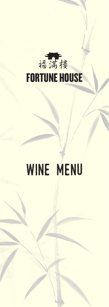

# wine menu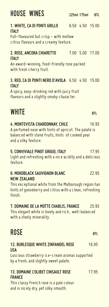### house wineS *225ml 175ml BTL*

## *1. WHITE, CA DI PONTI GRILLO* 6.50 4.50 15.00

*ITALY* Full-flavoured but crisp - with mellow citrus flavours and a creamy texture.

## *2. ROSE, ANCORA CHIARETTO* 7.00 5.00 17.00

*ITALY* An award-winning, food-friendly rose packed with fresh cherry fruit.

## *3. RED, CA DI PONTI NERO D'AVOLA* 6.50 4.50 15.00

......<br>A spicy, easy–drinking red with juicy fruit flavours and a slightly smoky character.

## white *BTL*

## *4. MONTEVISTA CHARDONNAY, CHILE* 16.95 A perfumed nose with hints of apricot. The palate is

balanced with stone fruits, hints of cooked pear and a silky texture.

### *5. CONVIVIALE PINOT GRIGIO, ITALY* 17.95 Light and refreshing with a nice acidity and a delicious texture.

## **6. MOKOBLACK SAUVIGNON BLANC** 22.95<br>**NEW ZEALAND**

*NEW ZEALAND* This exceptional white from the Malborough region has hints of gooseberry and citrus with a clean, refreshing finish.

**7. DOMAINE DE LA MOTTE CHABLIS, FRANCE 25.95<br>This elegant white is lovely and rich, well–balanced** with a steely minerality.

## rose *BTL*

## **12. BURLESQUE WHITE ZINFANDEL ROSE** 16.95<br>USA

*USA* Luscious strawberry ice-cream aromas supported by a fresh, and slightly sweet palate.

## *13. DOMAINE L'OLIBET CINSAULT ROSE* 17.95

*FRANCE* This classy French rose is a pale colour and is nicely dry, yet silky smooth.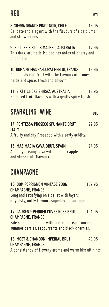### red *BTL*

| 8. SIERRA GRANDE PINOT NOIR, CHILE<br>Delicate and elegant with the flavours of ripe plums<br>and strawberries.                                                                  | 16.95      |
|----------------------------------------------------------------------------------------------------------------------------------------------------------------------------------|------------|
| 9. SOLDIER'S BLOCK MALBEC, AUSTRALIA<br>This dark, aromatic Malbec has notes of cherry and<br>chocolate                                                                          | 17.95      |
| 10. DOMAINE MAS BAHOURAT MERLOT, FRANCE<br>Deliciously ripe fruit with the flavours of prunes,<br>herbs and spice. Fresh and smooth                                              | 19.95      |
| 11. SIXTY CLICKS SHIRAZ, AUSTRALIA<br>Rich, red fruit flavours with a gently spicy finish.                                                                                       | 18.95      |
| SPARKLING WINE                                                                                                                                                                   | <b>BTL</b> |
| <b>14. FONTESSA PROSECO SPUMANTE BRUT</b><br><b>ITALY</b><br>A fruity and dry Prosecco with a zesty acidity.                                                                     | 22.95      |
| 15. MAS MACIA CAVA BRUT, SPAIN<br>A nicely creamy Cava with complex apple<br>and stone fruit flavours.                                                                           | 24.95      |
| <b>CHAMPAGNE</b>                                                                                                                                                                 |            |
| <b>16. DOM PERRIGNON VINTAGE 2006</b><br><b>CHAMPAGNE, FRANCE</b><br>Long and satisfying on a pallet with layers<br>of yeasty, nutty flavours superbly fat and ripe.             | 189.95     |
| <b>17. LAURENT-PERRIER CUVEE ROSE BRUT</b><br><b>CHAMPAGNE, FRANCE</b><br>Pale salmon in colour with precise, crisp aromas of<br>summer berries, redcurrants and black cherries. | 101.95     |
| <b>18. MOET &amp; CHANDON IMPERIAL BRUT</b><br><b>CHAMPAGNE, FRANCE</b><br>A consistency of flowery aroma and warm biscuit hints.                                                | 49.95      |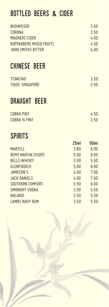## bottled beers *&* CIder

| <b>BUDWEISER</b><br><b>CORONA</b><br><b>MAGNERS CIDER</b><br><b>KOPPARBERG MIXED FRUITS</b> |      | 3.50<br>3.50<br>4.00<br>4.50 |
|---------------------------------------------------------------------------------------------|------|------------------------------|
| <b>JOHN SMITHS BITTER</b>                                                                   |      | 4.00                         |
| CHINESE BEER                                                                                |      |                              |
| <b>TSINGTAO</b><br><b>TIGER, SINGAPORE</b>                                                  |      | 3.50<br>3.50                 |
| DRAUGHT BEER                                                                                |      |                              |
| <b>COBRA PINT</b><br>COBRA 1/2 PINT                                                         |      | 4.50<br>2.50                 |
|                                                                                             |      |                              |
| <b>SPIRITS</b>                                                                              |      |                              |
|                                                                                             | 25ml | <b>50ml</b>                  |
| <b>MARTELL</b>                                                                              | 3.80 | 6.00                         |
| <b>REMY MARTIN (VSOP)</b>                                                                   | 5.00 | 8.00                         |
| <b>BELLS WHISKY</b>                                                                         | 3.50 | 5.50                         |
| <b>GLENFIDDICH</b>                                                                          | 5.00 | 8.00                         |
| <b>JAMESON'S</b>                                                                            | 4.00 | 7.00                         |
| <b>JACK DANIELS</b>                                                                         | 4.00 | 7.00                         |
| SOUTHERN COMFORT                                                                            | 3.50 | 6.00                         |
| SMIRNOFF VODKA                                                                              | 3.50 | 5.50                         |
| <b>BACARDI</b>                                                                              | 3.50 | 5.50                         |
| <b>LAMBS NAVY RUM</b>                                                                       | 3.50 | 5.50                         |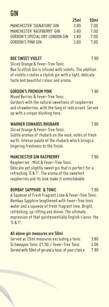### **GIN**

|                                 | <b>LIIIC</b> | JUIII |
|---------------------------------|--------------|-------|
| MANCHESTER 'SIGNATURE' GIN      | 3.80         | 7.00  |
| MANCHESTER 'RASPBERRY' GIN      | 3.80         | 7.00  |
| GORDON'S SPECIAL DRY LONDON GIN | 3 RO         | 7.00  |
| GORDON'S PINK GIN               | 3 RD         | 7.00  |
|                                 |              |       |

*BOE SWEET VIOLET* 7.90 Sliced Orange & Fever-Tree Tonic.

Boe Scottish Gin is infused with violets. The addition of violets creates a stylish gin with a light, delicate taste and beautiful colour and aroma.

*GORDON'S PREMIUM PINK* 7.90 Mixed Berries & Fever-Tree Tonic. Gordon's with the natural sweetness of raspberries and strawberries, with the tang of redcurrant. Served

### up with a unique blushing tone.

*WARNER EDWARDS RHUBARB* 7.90 Sliced Orange & Fever-Tree Tonic. Subtle aromas of rhubarb on the nose, notes of fresh earth. Intense palate of the rhubarb which brings a lingering freshness to the finish.

*MANCHESTER GIN RASPBERRY* 7.90 Raspberries , Mint & Fever-Tree Tonic. Delicate yet slightly sweet gin that is perfect for a refreshing 'G & T'. The aroma of the sweetest raspberries and its look make it unmistakable.

*BOMBAY SAPPHIRE & TONIC* 7.90 A Squeeze of Fresh Fragrant Lime & Fever-Tree Tonic. Bombay Sapphire lengthened with Fever-Tree tonic water and a squeeze of fresh fragrant lime. Bright, refreshing, up-lifting and divine. The ultimate expression of that quintessentially English classic the 'G & T'.

| Served as 25ml measures excluding a tonic          | 3.80 |
|----------------------------------------------------|------|
| Schweppes Tonic £1.50 / Fever-Tree Tonic           | 2.00 |
| Served with 50ml of gin and a tonic of your choice | 7.90 |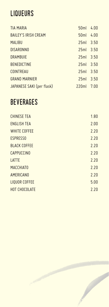### liqueurs

| <b>TIA MARIA</b>            | 50ml 4.00     |  |
|-----------------------------|---------------|--|
| <b>BAILEY'S IRISH CREAM</b> | 50ml 4.00     |  |
| <b>MALIBU</b>               | $25ml$ $3.50$ |  |
| <b>DISARONNO</b>            | $25ml$ $3.50$ |  |
| <b>DRAMBUIE</b>             | $25ml$ $3.50$ |  |
| <b>BENEDICTINE</b>          | $25ml$ $3.50$ |  |
| <b>COINTREAU</b>            | $25ml$ $3.50$ |  |
| <b>GRAND MARNIER</b>        | $25ml$ $3.50$ |  |
| JAPANESE SAKI (per flask)   | 220ml 7.00    |  |

### **BEVERAGES**

| <b>CHINESE TEA</b>   | 1.80 |
|----------------------|------|
| <b>ENGLISH TEA</b>   | 2.00 |
| <b>WHITE COFFEE</b>  | 2.20 |
| <b>ESPRESSO</b>      | 2.20 |
| <b>BLACK COFFEE</b>  | 2.20 |
| <b>CAPPUCCINO</b>    | 2.20 |
| LATTE                | 2.20 |
| <b>MACCHIATO</b>     | 2.20 |
| AMERICANO            | 2.20 |
| <b>LIQUOR COFFEE</b> | 5.00 |
| <b>HOT CHOCOLATE</b> | 2.20 |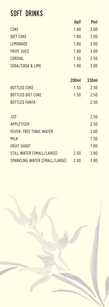### soft drinks

|                               | <b>Halt</b> | <b>Pint</b> |
|-------------------------------|-------------|-------------|
| <b>COKE</b>                   | 1.80        | 3.00        |
| <b>DIET COKE</b>              | 1.80        | 3.00        |
| LEMONADE                      | 1.80        | 3.00        |
| <b>FRUIT JUICE</b>            | 1.80        | 3.00        |
| <b>CORDIAL</b>                | 1.50        | 2.50        |
| SODA/SODA & LIME              | 1.80        | 3.00        |
|                               | 200ml       | 330ml       |
| <b>BOTTLED COKE</b>           |             |             |
|                               | 1.50        | 2.50        |
| <b>BOTTLED DIET COKE</b>      | 1.50        | 2.50        |
| <b>BOTTLED FANTA</b>          |             | 2.50        |
| <b>J20</b>                    |             | 2.50        |
| <b>APPLETISER</b>             |             | 2.50        |
| <b>FEVER-TREE TONIC WATER</b> |             | 2.00        |
| <b>MILK</b>                   |             | 1.50        |
| <b>FRUIT SHOOT</b>            |             | 1.80        |
| STILL WATER (SMALL/LARGE)     | 2.00        | 3.80        |
| SPARKLING WATER (SMALL/LARGE) | 2.00        | 3.80        |